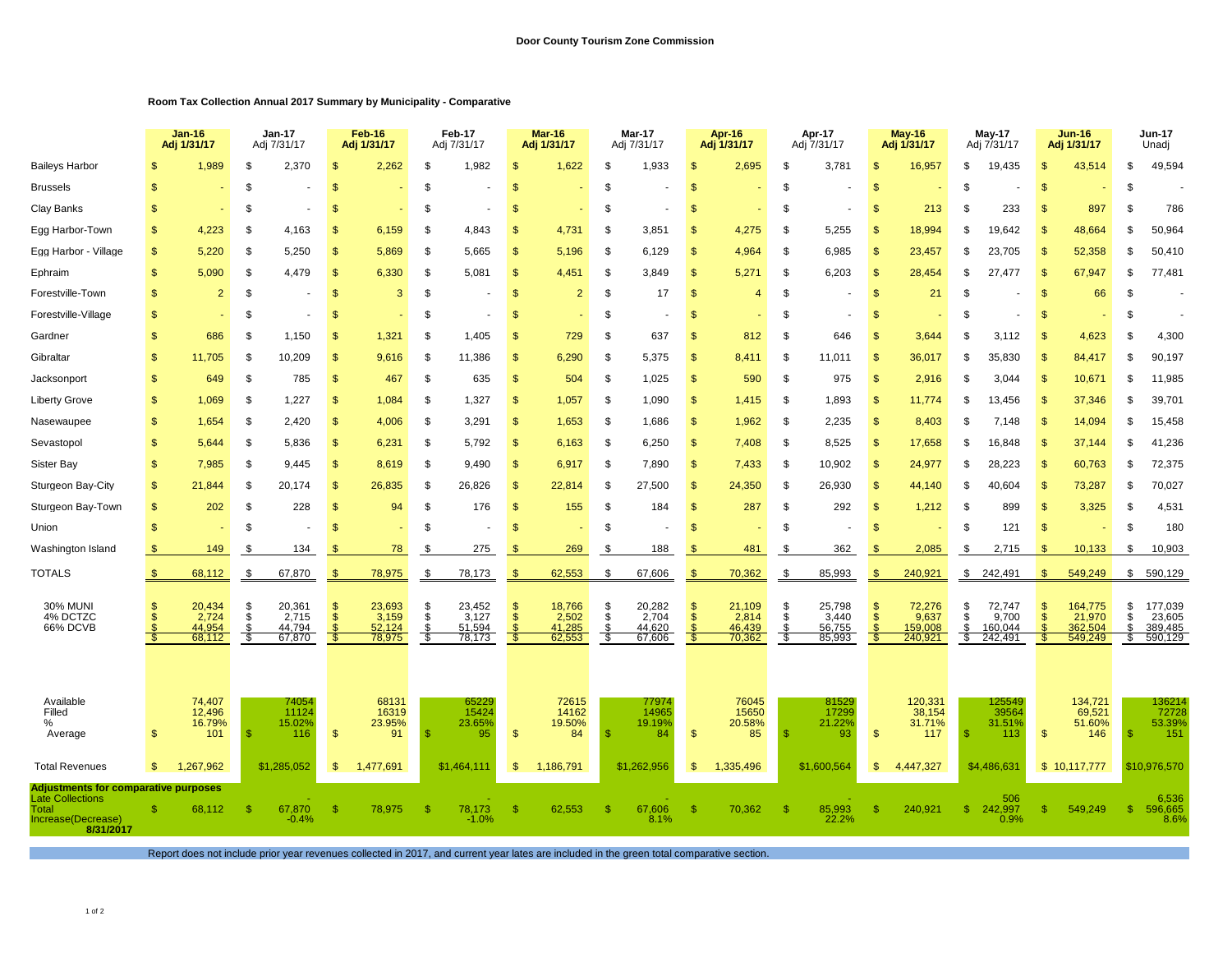## **Room Tax Collection Annual 2017 Summary by Municipality - Comparative**

|                                                                                                             |                | $Jan-16$<br>Adj 1/31/17             |                             | <b>Jan-17</b><br>Adj 7/31/17        |                            | Feb-16<br>Adj 1/31/17               |                              | Feb-17<br>Adj 7/31/17               |                             | <b>Mar-16</b><br>Adj 1/31/17        |                   | Mar-17<br>Adj 7/31/17               |                                      | Apr-16<br>Adj 1/31/17               |                        | Apr-17<br>Adj 7/31/17               |                                   | <b>May-16</b><br>Adj 1/31/17          |                     | <b>May-17</b><br>Adj 7/31/17          |                      | <b>Jun-16</b><br>Adj 1/31/17            |                       | Jun-17<br>Unadj                         |  |
|-------------------------------------------------------------------------------------------------------------|----------------|-------------------------------------|-----------------------------|-------------------------------------|----------------------------|-------------------------------------|------------------------------|-------------------------------------|-----------------------------|-------------------------------------|-------------------|-------------------------------------|--------------------------------------|-------------------------------------|------------------------|-------------------------------------|-----------------------------------|---------------------------------------|---------------------|---------------------------------------|----------------------|-----------------------------------------|-----------------------|-----------------------------------------|--|
| <b>Baileys Harbor</b>                                                                                       |                | 1,989                               | \$                          | 2,370                               | \$.                        | 2,262                               | \$                           | 1,982                               | S                           | 1,622                               | \$                | 1,933                               | \$                                   | 2,695                               | -S                     | 3,781                               | $\mathbf{s}$                      | 16,957                                | \$                  | 19,435                                |                      | 43,514                                  | \$                    | 49,594                                  |  |
| <b>Brussels</b>                                                                                             | S              |                                     | \$                          |                                     | \$                         |                                     | \$                           |                                     | S                           |                                     | \$                |                                     | S                                    |                                     | <b>S</b>               |                                     | $\mathcal{S}$                     |                                       | S                   |                                       | -S                   |                                         | \$                    |                                         |  |
| Clay Banks                                                                                                  | \$             |                                     | \$                          |                                     | - \$                       |                                     | \$                           |                                     | \$                          |                                     | \$                |                                     | \$                                   | $\sim$                              | \$                     | $\overline{\phantom{a}}$            | \$                                | 213                                   | Я.                  | 233                                   | -S                   | 897                                     | -\$                   | 786                                     |  |
| Egg Harbor-Town                                                                                             | \$             | 4,223                               | \$                          | 4,163                               | - \$                       | 6,159                               | \$                           | 4,843                               | \$                          | 4,731                               | S.                | 3,851                               | \$                                   | 4,275                               | \$                     | 5,255                               | <sup>\$</sup>                     | 18.994                                | £.                  | 19.642                                | <b>S</b>             | 48,664                                  | S.                    | 50,964                                  |  |
| Egg Harbor - Village                                                                                        | \$             | 5.220                               | \$                          | 5,250                               | $\mathcal{F}$              | 5.869                               | \$                           | 5,665                               | \$                          | 5,196                               | -\$               | 6,129                               | $\mathfrak{s}$                       | 4,964                               | \$                     | 6,985                               | \$                                | 23,457                                | \$                  | 23.705                                | -96                  | 52,358                                  | \$.                   | 50,410                                  |  |
| Ephraim                                                                                                     | \$             | 5,090                               | \$                          | 4,479                               | - \$                       | 6,330                               | S                            | 5,081                               | \$                          | 4,451                               | S.                | 3,849                               | \$                                   | 5,271                               | \$                     | 6,203                               | S                                 | 28,454                                | Я.                  | 27,477                                | $\mathbf{s}$         | 67,947                                  | \$.                   | 77,481                                  |  |
| Forestville-Town                                                                                            | \$             | $\overline{2}$                      | \$                          |                                     | $\mathbf{\mathfrak{L}}$    | 3                                   | \$                           |                                     | S                           | $\overline{2}$                      | \$                | 17                                  | \$                                   | $\overline{4}$                      | -S                     |                                     | $\mathbf{s}$                      | 21                                    | -SS                 |                                       | -S                   | 66                                      | -\$                   |                                         |  |
| Forestville-Village                                                                                         | \$             |                                     | \$                          |                                     | \$                         |                                     | \$                           |                                     | S                           |                                     | S                 |                                     | S                                    |                                     | -S                     | $\overline{\phantom{a}}$            | <sup>\$</sup>                     |                                       | Я.                  |                                       |                      |                                         | \$                    |                                         |  |
| Gardner                                                                                                     | \$             | 686                                 | \$                          | 1,150                               | -\$                        | 1,321                               | \$                           | 1,405                               | S                           | 729                                 | <sup>\$</sup>     | 637                                 | \$                                   | 812                                 | -S                     | 646                                 | $\mathbf{s}$                      | 3,644                                 |                     | 3,112                                 |                      | 4,623                                   | \$.                   | 4,300                                   |  |
| Gibraltar                                                                                                   | \$             | 11,705                              | \$                          | 10,209                              | -\$                        | 9,616                               | \$                           | 11,386                              | \$                          | 6,290                               | <sup>\$</sup>     | 5,375                               | \$                                   | 8,411                               | - \$                   | 11,011                              | \$                                | 36,017                                | -S                  | 35,830                                | -S                   | 84,417                                  | \$.                   | 90,197                                  |  |
| Jacksonport                                                                                                 | \$             | 649                                 | \$                          | 785                                 | -\$                        | 467                                 | \$                           | 635                                 | \$                          | 504                                 | \$                | 1,025                               | <b>S</b>                             | 590                                 | \$                     | 975                                 | \$                                | 2,916                                 | -S                  | 3,044                                 | -S                   | 10,671                                  | S                     | 11,985                                  |  |
| Liberty Grove                                                                                               | \$             | 1,069                               | \$                          | 1,227                               | -\$                        | 1,084                               | \$                           | 1,327                               | \$                          | 1,057                               | -\$               | 1,090                               | \$                                   | 1,415                               | -\$                    | 1,893                               | $\mathbf{s}$                      | 11,774                                | -S                  | 13,456                                | -S                   | 37,346                                  | £.                    | 39,701                                  |  |
| Nasewaupee                                                                                                  | \$             | 1,654                               | \$                          | 2,420                               | -\$                        | 4,006                               | \$                           | 3,291                               | \$                          | 1,653                               | \$                | 1,686                               | $\mathcal{S}$                        | 1,962                               | \$                     | 2,235                               | $\mathsf{\$}$                     | 8,403                                 | -S                  | 7.148                                 | \$                   | 14,094                                  | \$                    | 15,458                                  |  |
| Sevastopol                                                                                                  | \$             | 5,644                               | \$                          | 5,836                               | -\$                        | 6,231                               | \$                           | 5,792                               | \$                          | 6,163                               | \$                | 6,250                               | \$                                   | 7,408                               | \$                     | 8,525                               | \$                                | 17,658                                | -S                  | 16,848                                |                      | 37,144                                  | \$.                   | 41,236                                  |  |
| Sister Bay                                                                                                  | \$             | 7,985                               | \$                          | 9,445                               | \$                         | 8,619                               | \$                           | 9,490                               | \$                          | 6,917                               | - \$              | 7,890                               | S                                    | 7,433                               | - \$                   | 10,902                              | $\mathbb{S}$                      | 24,977                                | -S                  | 28,223                                | -S                   | 60,763                                  | S                     | 72,375                                  |  |
| Sturgeon Bay-City                                                                                           | \$             | 21,844                              | \$                          | 20,174                              | - \$                       | 26,835                              | \$                           | 26,826                              | \$                          | 22,814                              | \$                | 27,500                              | \$                                   | 24,350                              | \$                     | 26,930                              | $\mathbf{s}$                      | 44,140                                | - 35                | 40,604                                | -S                   | 73,287                                  | S                     | 70,027                                  |  |
| Sturgeon Bay-Town                                                                                           | $\mathfrak{s}$ | 202                                 | S.                          | 228                                 | $\mathbf{s}$               | 94                                  | \$                           | 176                                 | $\sqrt{2}$                  | 155                                 | \$                | 184                                 | <b>S</b>                             | 287                                 | \$                     | 292                                 | $\mathsf{\$}$                     | 1,212                                 | \$                  | 899                                   | $\mathbf{s}$         | 3,325                                   | \$                    | 4,531                                   |  |
| Union                                                                                                       | \$             |                                     | \$                          |                                     | -\$                        |                                     | \$                           |                                     | \$                          |                                     | \$                |                                     | \$                                   |                                     | \$                     |                                     | $\mathcal{S}$                     |                                       | \$                  | 121                                   | \$                   |                                         | \$                    | 180                                     |  |
| Washington Island                                                                                           | \$             | 149                                 | S                           | 134                                 |                            | 78                                  | S                            | 275                                 | S                           | 269                                 | \$                | 188                                 |                                      | 481                                 | \$                     | 362                                 |                                   | 2,085                                 | \$                  | 2,715                                 | $\mathbf{s}$         | 10,133                                  | \$                    | 10,903                                  |  |
| TOTALS                                                                                                      | -\$            | 68,112                              | \$                          | 67,870                              | £.                         | 78,975                              | \$                           | 78,173                              | \$                          | 62,553                              | \$                | 67,606                              | \$.                                  | 70,362                              | -S                     | 85,993                              | $\mathbf{s}$                      | 240,921                               | \$                  | 242,491                               | \$                   | 549,249                                 | \$                    | 590,129                                 |  |
| <b>30% MUNI</b><br>4% DCTZC<br>66% DCVB                                                                     | S              | 20,434<br>2,724<br>44.954<br>68,112 | $\frac{\$}{\$}$<br>S.<br>\$ | 20,361<br>2,715<br>44,794<br>67,870 | $\mathbf{s}$<br>-S<br>- 35 | 23,693<br>3,159<br>52,124<br>78,975 | $\frac{\$}{\$}$<br>\$<br>-\$ | 23,452<br>3,127<br>51,594<br>78,173 | S<br>$\mathbb{S}$<br>S<br>S | 18,766<br>2,502<br>41,285<br>62,553 | \$<br>- \$<br>-\$ | 20,282<br>2,704<br>44,620<br>67,606 | S<br>$\mathcal{S}$<br><b>S</b><br>-S | 21,109<br>2,814<br>46,439<br>70,362 | \$<br>\$<br>-S<br>- \$ | 25,798<br>3,440<br>56,755<br>85,993 | \$<br>$\mathfrak{S}$<br>S<br>- \$ | 72,276<br>9,637<br>159,008<br>240,921 | S<br>\$<br>\$<br>-S | 72,747<br>9,700<br>160.044<br>242,491 | $\mathbf{s}$<br>- \$ | 164,775<br>21,970<br>362,504<br>549,249 | \$<br>\$<br>\$.<br>S. | 177,039<br>23,605<br>389,485<br>590,129 |  |
| Available<br>Filled<br>%<br>Average                                                                         | \$             | 74,407<br>12,496<br>16.79%<br>101   | -\$                         | 74054<br>11124<br>15.02%<br>116     | \$                         | 68131<br>16319<br>23.95%<br>91      | -S                           | 65229<br>15424<br>23.65%<br>95      | \$                          | 72615<br>14162<br>19.50%<br>84      | -9                | 77974<br>14965<br>19.19%<br>84      | $\mathcal{S}$                        | 76045<br>15650<br>20.58%<br>85      | S                      | 81529<br>17299<br>21.22%<br>93      | \$                                | 120,331<br>38,154<br>31.71%<br>117    |                     | 125549<br>39564<br>31.51%<br>113      | \$                   | 134,721<br>69,521<br>51.60%<br>146      | -S                    | 136214<br>72728<br>53.39%<br>151        |  |
| <b>Total Revenues</b>                                                                                       | $\mathbb{S}$   | 1.267.962                           |                             | \$1,285,052                         | \$                         | 1,477,691                           |                              | \$1.464.111                         | \$                          | 1,186,791                           |                   | \$1.262.956                         | \$                                   | 1,335,496                           |                        | \$1,600,564                         | $\mathbf{s}$                      | 4,447,327                             |                     | \$4,486,631                           |                      | \$10,117,777                            |                       | \$10,976,570                            |  |
| Adjustments for comparative purposes<br><b>Late Collections</b><br>Total<br>Increase(Decrease)<br>8/31/2017 |                | 68,112                              | -\$                         | 67,870<br>$-0.4%$                   | -\$                        | 78,975                              | -S                           | 78,173<br>$-1.0%$                   | \$                          | 62,553                              | -S                | 67,606<br>8.1%                      | $\mathbf{\$}$                        | 70,362                              | -\$                    | 85,993<br>22.2%                     | S                                 | 240,921                               | s.                  | 506<br>242,997<br>0.9%                |                      | 549,249                                 | $\mathbf{\$}$         | 6,536<br>596,665<br>8.6%                |  |

Report does not include prior year revenues collected in 2017, and current year lates are included in the green total comparative section.